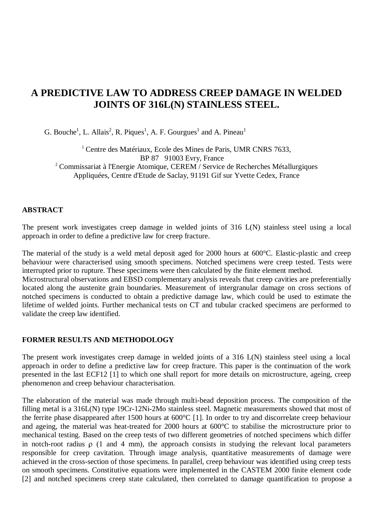# **A PREDICTIVE LAW TO ADDRESS CREEP DAMAGE IN WELDED JOINTS OF 316L(N) STAINLESS STEEL.**

G. Bouche<sup>1</sup>, L. Allais<sup>2</sup>, R. Piques<sup>1</sup>, A. F. Gourgues<sup>1</sup> and A. Pineau<sup>1</sup>

<sup>1</sup> Centre des Matériaux, Ecole des Mines de Paris, UMR CNRS 7633, BP 87 91003 Evry, France <sup>2</sup> Commissariat à l'Energie Atomique, CEREM / Service de Recherches Métallurgiques Appliquées, Centre d'Etude de Saclay, 91191 Gif sur Yvette Cedex, France

## **ABSTRACT**

The present work investigates creep damage in welded joints of 316 L(N) stainless steel using a local approach in order to define a predictive law for creep fracture.

The material of the study is a weld metal deposit aged for 2000 hours at 600°C. Elastic-plastic and creep behaviour were characterised using smooth specimens. Notched specimens were creep tested. Tests were interrupted prior to rupture. These specimens were then calculated by the finite element method.

Microstructural observations and EBSD complementary analysis reveals that creep cavities are preferentially located along the austenite grain boundaries. Measurement of intergranular damage on cross sections of notched specimens is conducted to obtain a predictive damage law, which could be used to estimate the lifetime of welded joints. Further mechanical tests on CT and tubular cracked specimens are performed to validate the creep law identified.

# **FORMER RESULTS AND METHODOLOGY**

The present work investigates creep damage in welded joints of a 316 L(N) stainless steel using a local approach in order to define a predictive law for creep fracture. This paper is the continuation of the work presented in the last ECF12 [1] to which one shall report for more details on microstructure, ageing, creep phenomenon and creep behaviour characterisation.

The elaboration of the material was made through multi-bead deposition process. The composition of the filling metal is a 316L(N) type 19Cr-12Ni-2Mo stainless steel. Magnetic measurements showed that most of the ferrite phase disappeared after 1500 hours at 600°C [1]. In order to try and discorrelate creep behaviour and ageing, the material was heat-treated for 2000 hours at 600°C to stabilise the microstructure prior to mechanical testing. Based on the creep tests of two different geometries of notched specimens which differ in notch-root radius  $\rho$  (1 and 4 mm), the approach consists in studying the relevant local parameters responsible for creep cavitation. Through image analysis, quantitative measurements of damage were achieved in the cross-section of those specimens. In parallel, creep behaviour was identified using creep tests on smooth specimens. Constitutive equations were implemented in the CASTEM 2000 finite element code [2] and notched specimens creep state calculated, then correlated to damage quantification to propose a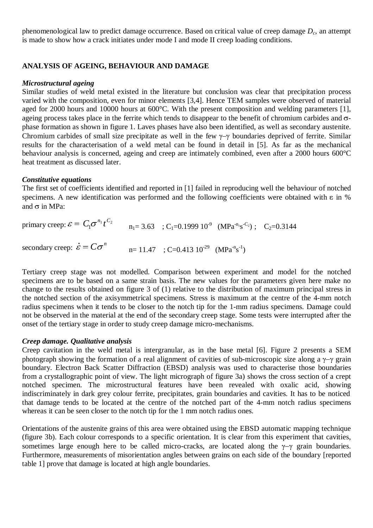phenomenological law to predict damage occurrence. Based on critical value of creep damage *Dc*, an attempt is made to show how a crack initiates under mode I and mode II creep loading conditions.

# **ANALYSIS OF AGEING, BEHAVIOUR AND DAMAGE**

#### *Microstructural ageing*

Similar studies of weld metal existed in the literature but conclusion was clear that precipitation process varied with the composition, even for minor elements [3,4]. Hence TEM samples were observed of material aged for 2000 hours and 10000 hours at 600°C. With the present composition and welding parameters [1], ageing process takes place in the ferrite which tends to disappear to the benefit of chromium carbides and  $\sigma$ phase formation as shown in figure 1. Laves phases have also been identified, as well as secondary austenite. Chromium carbides of small size precipitate as well in the few  $\gamma$ - $\gamma$  boundaries deprived of ferrite. Similar results for the characterisation of a weld metal can be found in detail in [5]. As far as the mechanical behaviour analysis is concerned, ageing and creep are intimately combined, even after a 2000 hours 600°C heat treatment as discussed later.

#### *Constitutive equations*

The first set of coefficients identified and reported in [1] failed in reproducing well the behaviour of notched specimens. A new identification was performed and the following coefficients were obtained with  $\varepsilon$  in % and  $\sigma$  in MPa:

| The first set of coefficients identified and reported in [1] raned in reproducing went the bell<br>specimens. A new identification was performed and the following coefficients were obta<br>and $\sigma$ in MPa: |                                                                                                                             |  |
|-------------------------------------------------------------------------------------------------------------------------------------------------------------------------------------------------------------------|-----------------------------------------------------------------------------------------------------------------------------|--|
| primary creep: $\varepsilon = C_1 \sigma^{n_1} t^{C_2}$                                                                                                                                                           | $n_1 = 3.63$ ; C <sub>1</sub> =0.1999 10 <sup>-9</sup> (MPa <sup>-n<sub>1S</sub>-C<sub>2</sub>); C<sub>2</sub>=0.3144</sup> |  |
| secondary creep: $\epsilon = C\sigma^n$                                                                                                                                                                           | $n=11.47$ ; C=0.413 $10^{-29}$ (MPa <sup>-n</sup> s <sup>-1</sup> )                                                         |  |

Tertiary creep stage was not modelled. Comparison between experiment and model for the notched specimens are to be based on a same strain basis. The new values for the parameters given here make no change to the results obtained on figure 3 of (1) relative to the distribution of maximum principal stress in the notched section of the axisymmetrical specimens. Stress is maximum at the centre of the 4-mm notch radius specimens when it tends to be closer to the notch tip for the 1-mm radius specimens. Damage could not be observed in the material at the end of the secondary creep stage. Some tests were interrupted after the onset of the tertiary stage in order to study creep damage micro-mechanisms.

#### *Creep damage. Qualitative analysis*

Creep cavitation in the weld metal is intergranular, as in the base metal [6]. Figure 2 presents a SEM photograph showing the formation of a real alignment of cavities of sub-microscopic size along a  $\gamma$ - $\gamma$  grain boundary. Electron Back Scatter Diffraction (EBSD) analysis was used to characterise those boundaries from a crystallographic point of view. The light micrograph of figure 3a) shows the cross section of a crept notched specimen. The microstructural features have been revealed with oxalic acid, showing indiscriminately in dark grey colour ferrite, precipitates, grain boundaries and cavities. It has to be noticed that damage tends to be located at the centre of the notched part of the 4-mm notch radius specimens whereas it can be seen closer to the notch tip for the 1 mm notch radius ones.

Orientations of the austenite grains of this area were obtained using the EBSD automatic mapping technique (figure 3b). Each colour corresponds to a specific orientation. It is clear from this experiment that cavities, sometimes large enough here to be called micro-cracks, are located along the  $\gamma-\gamma$  grain boundaries. Furthermore, measurements of misorientation angles between grains on each side of the boundary [reported table 1] prove that damage is located at high angle boundaries.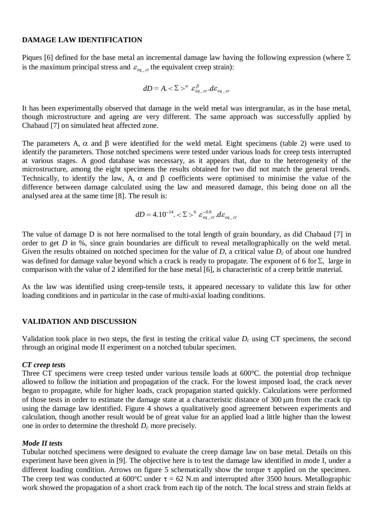## **DAMAGE LAW IDENTIFICATION**

Piques [6] defined for the base metal an incremental damage law having the following expression (where  $\Sigma$ is the maximum principal stress and  $\varepsilon_{eq}$   $_{cr}$  the equivalent creep strain):

$$
dD = A \cdot \Sigma >^{\alpha} \varepsilon_{eq\_cr}^{\beta} \cdot d\varepsilon_{eq\_cr}
$$

It has been experimentally observed that damage in the weld metal was intergranular, as in the base metal, though microstructure and ageing are very different. The same approach was successfully applied by Chabaud [7] on simulated heat affected zone.

The parameters A,  $\alpha$  and  $\beta$  were identified for the weld metal. Eight specimens (table 2) were used to identify the parameters. Those notched specimens were tested under various loads for creep tests interrupted at various stages. A good database was necessary, as it appears that, due to the heterogeneity of the microstructure, among the eight specimens the results obtained for two did not match the general trends. Technically, to identify the law, A,  $\alpha$  and  $\beta$  coefficients were optimised to minimise the value of the difference between damage calculated using the law and measured damage, this being done on all the analysed area at the same time [8]. The result is: and p coefficients were<br>
using the law and measu<br>
sult is:<br>
= 4.10<sup>-14</sup>. <  $\Sigma > 6 \varepsilon_{eq-cr}^{-0.8}$ . de

$$
dD = 4.10^{-14} \cdot <\Sigma>^{6} \varepsilon_{eq\_cr}^{-0.8} \cdot d\varepsilon_{eq\_cr}
$$

The value of damage D is not here normalised to the total length of grain boundary, as did Chabaud [7] in order to get *D* in %, since grain boundaries are difficult to reveal metallographically on the weld metal. Given the results obtained on notched specimen for the value of *D*, a critical value *D<sub>c</sub>* of about one hundred was defined for damage value beyond which a crack is ready to propagate. The exponent of 6 for  $\Sigma$ , large in comparison with the value of 2 identified for the base metal [6], is characteristic of a creep brittle material.

As the law was identified using creep-tensile tests, it appeared necessary to validate this law for other loading conditions and in particular in the case of multi-axial loading conditions.

#### **VALIDATION AND DISCUSSION**

Validation took place in two steps, the first in testing the critical value  $D<sub>c</sub>$  using CT specimens, the second through an original mode II experiment on a notched tubular specimen.

#### *CT creep tests*

Three CT specimens were creep tested under various tensile loads at 600°C. the potential drop technique allowed to follow the initiation and propagation of the crack. For the lowest imposed load, the crack never began to propagate, while for higher loads, crack propagation started quickly. Calculations were performed of those tests in order to estimate the damage state at a characteristic distance of 300 µm from the crack tip using the damage law identified. Figure 4 shows a qualitatively good agreement between experiments and calculation, though another result would be of great value for an applied load a little higher than the lowest one in order to determine the threshold *Dc* more precisely.

#### *Mode II tests*

Tubular notched specimens were designed to evaluate the creep damage law on base metal. Details on this experiment have been given in [9]. The objective here is to test the damage law identified in mode I, under a different loading condition. Arrows on figure 5 schematically show the torque  $\tau$  applied on the specimen. The creep test was conducted at 600°C under  $\tau = 62$  N.m and interrupted after 3500 hours. Metallographic work showed the propagation of a short crack from each tip of the notch. The local stress and strain fields at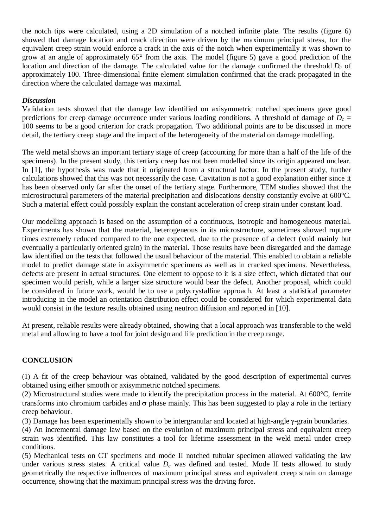the notch tips were calculated, using a 2D simulation of a notched infinite plate. The results (figure 6) showed that damage location and crack direction were driven by the maximum principal stress, for the equivalent creep strain would enforce a crack in the axis of the notch when experimentally it was shown to grow at an angle of approximately 65° from the axis. The model (figure 5) gave a good prediction of the location and direction of the damage. The calculated value for the damage confirmed the threshold *D<sub>c</sub>* of approximately 100. Three-dimensional finite element simulation confirmed that the crack propagated in the direction where the calculated damage was maximal.

## *Discussion*

Validation tests showed that the damage law identified on axisymmetric notched specimens gave good predictions for creep damage occurrence under various loading conditions. A threshold of damage of  $D<sub>c</sub>$  = 100 seems to be a good criterion for crack propagation. Two additional points are to be discussed in more detail, the tertiary creep stage and the impact of the heterogeneity of the material on damage modelling.

The weld metal shows an important tertiary stage of creep (accounting for more than a half of the life of the specimens). In the present study, this tertiary creep has not been modelled since its origin appeared unclear. In [1], the hypothesis was made that it originated from a structural factor. In the present study, further calculations showed that this was not necessarily the case. Cavitation is not a good explanation either since it has been observed only far after the onset of the tertiary stage. Furthermore, TEM studies showed that the microstructural parameters of the material precipitation and dislocations density constantly evolve at 600°C. Such a material effect could possibly explain the constant acceleration of creep strain under constant load.

Our modelling approach is based on the assumption of a continuous, isotropic and homogeneous material. Experiments has shown that the material, heterogeneous in its microstructure, sometimes showed rupture times extremely reduced compared to the one expected, due to the presence of a defect (void mainly but eventually a particularly oriented grain) in the material. Those results have been disregarded and the damage law identified on the tests that followed the usual behaviour of the material. This enabled to obtain a reliable model to predict damage state in axisymmetric specimens as well as in cracked specimens. Nevertheless, defects are present in actual structures. One element to oppose to it is a size effect, which dictated that our specimen would perish, while a larger size structure would bear the defect. Another proposal, which could be considered in future work, would be to use a polycrystalline approach. At least a statistical parameter introducing in the model an orientation distribution effect could be considered for which experimental data would consist in the texture results obtained using neutron diffusion and reported in [10].

At present, reliable results were already obtained, showing that a local approach was transferable to the weld metal and allowing to have a tool for joint design and life prediction in the creep range.

# **CONCLUSION**

(1) A fit of the creep behaviour was obtained, validated by the good description of experimental curves obtained using either smooth or axisymmetric notched specimens.

(2) Microstructural studies were made to identify the precipitation process in the material. At 600°C, ferrite transforms into chromium carbides and  $\sigma$  phase mainly. This has been suggested to play a role in the tertiary creep behaviour.

(3) Damage has been experimentally shown to be intergranular and located at high-angle  $\gamma$ -grain boundaries.

(4) An incremental damage law based on the evolution of maximum principal stress and equivalent creep strain was identified. This law constitutes a tool for lifetime assessment in the weld metal under creep conditions.

(5) Mechanical tests on CT specimens and mode II notched tubular specimen allowed validating the law under various stress states. A critical value  $D<sub>c</sub>$  was defined and tested. Mode II tests allowed to study geometrically the respective influences of maximum principal stress and equivalent creep strain on damage occurrence, showing that the maximum principal stress was the driving force.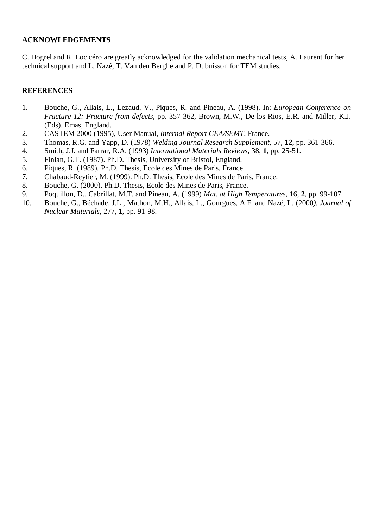## **ACKNOWLEDGEMENTS**

C. Hogrel and R. Locicéro are greatly acknowledged for the validation mechanical tests, A. Laurent for her technical support and L. Nazé, T. Van den Berghe and P. Dubuisson for TEM studies.

## **REFERENCES**

- 1. Bouche, G., Allais, L., Lezaud, V., Piques, R. and Pineau, A. (1998). In: *European Conference on Fracture 12: Fracture from defects*, pp. 357-362, Brown, M.W., De los Rios, E.R. and Miller, K.J. (Eds). Emas, England.
- 2. CASTEM 2000 (1995), User Manual, *Internal Report CEA/SEMT*, France.
- 3. Thomas, R.G. and Yapp, D. (1978) *Welding Journal Research Supplement*, 57, **12**, pp. 361-366.
- 4. Smith, J.J. and Farrar, R.A. (1993) *International Materials Reviews*, 38, **1**, pp. 25-51.
- 5. Finlan, G.T. (1987). Ph.D. Thesis, University of Bristol, England.
- 6. Piques, R. (1989). Ph.D. Thesis, Ecole des Mines de Paris, France.
- 7. Chabaud-Reytier, M. (1999). Ph.D. Thesis, Ecole des Mines de Paris, France.
- 8. Bouche, G. (2000). Ph.D. Thesis, Ecole des Mines de Paris, France.
- 9. Poquillon, D., Cabrillat, M.T. and Pineau, A. (1999) *Mat. at High Temperatures*, 16, **2**, pp. 99-107.
- 10. Bouche, G., Béchade, J.L., Mathon, M.H., Allais, L., Gourgues, A.F. and Nazé, L. (2000*). Journal of Nuclear Materials*, 277, **1**, pp. 91-98.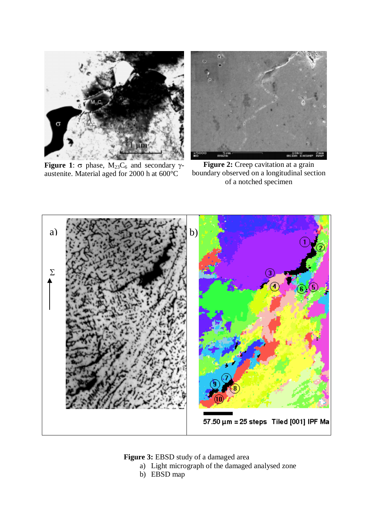

**Figure 1**:  $\sigma$  phase,  $M_{23}C_6$  and secondary  $\gamma$ austenite. Material aged for 2000 h at 600°C



**Figure 2:** Creep cavitation at a grain boundary observed on a longitudinal section of a notched specimen



**Figure 3:** EBSD study of a damaged area

- a) Light micrograph of the damaged analysed zone
- b) EBSD map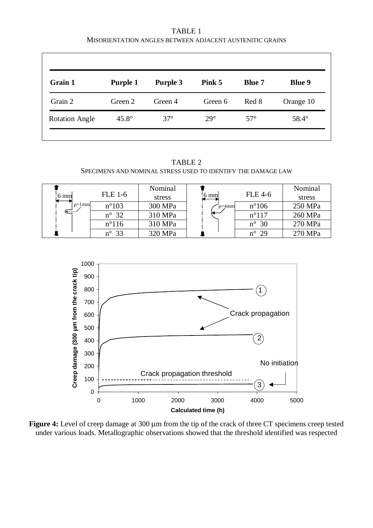TABLE 1 MISORIENTATION ANGLES BETWEEN ADJACENT AUSTENITIC GRAINS

| Grain 1               | Purple 1     | Purple 3   | Pink 5     | <b>Blue 7</b> | <b>Blue 9</b> |
|-----------------------|--------------|------------|------------|---------------|---------------|
| Grain 2               | Green 2      | Green 4    | Green 6    | Red 8         | Orange 10     |
| <b>Rotation Angle</b> | $45.8^\circ$ | $37^\circ$ | $29^\circ$ | $57^\circ$    | $58.4^\circ$  |

TABLE 2 SPECIMENS AND NOMINAL STRESS USED TO IDENTIFY THE DAMAGE LAW

| 6 mm                                                                | <b>FLE 1-6</b> | Nominal<br>stress | :6 mml         | <b>FLE 4-6</b> | Nominal<br>stress |
|---------------------------------------------------------------------|----------------|-------------------|----------------|----------------|-------------------|
| $\rho = l$ mm<br>$n^{\circ}103$<br>$n^{\circ}$ 32<br>$n^{\circ}116$ | 300 MPa        | $p=4$ mm          | $n^{\circ}106$ | 250 MPa        |                   |
|                                                                     | 310 MPa        |                   | $n^{\circ}117$ | 260 MPa        |                   |
|                                                                     | 310 MPa        |                   | $n^{\circ}$ 30 | 270 MPa        |                   |
|                                                                     | $n^{\circ}$ 33 | 320 MPa           |                | $n^{\circ}$ 29 | 270 MPa           |



Figure 4: Level of creep damage at 300 µm from the tip of the crack of three CT specimens creep tested under various loads. Metallographic observations showed that the threshold identified was respected